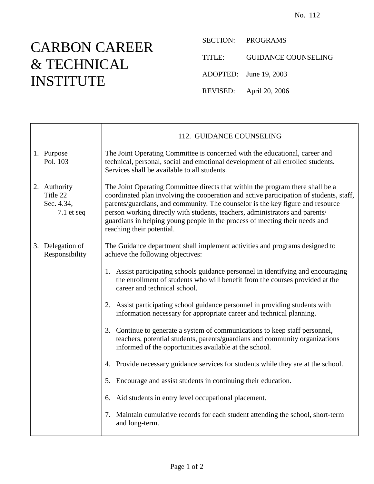## CARBON CAREER & TECHNICAL INSTITUTE

 $\mathsf{r}$ 

SECTION: PROGRAMS

TITLE: GUIDANCE COUNSELING

ADOPTED: June 19, 2003

REVISED: April 20, 2006

|                                                        | 112. GUIDANCE COUNSELING                                                                                                                                                                                                                                                                                                                                                                                                                                |
|--------------------------------------------------------|---------------------------------------------------------------------------------------------------------------------------------------------------------------------------------------------------------------------------------------------------------------------------------------------------------------------------------------------------------------------------------------------------------------------------------------------------------|
| 1. Purpose<br>Pol. 103                                 | The Joint Operating Committee is concerned with the educational, career and<br>technical, personal, social and emotional development of all enrolled students.<br>Services shall be available to all students.                                                                                                                                                                                                                                          |
| 2. Authority<br>Title 22<br>Sec. 4.34,<br>$7.1$ et seq | The Joint Operating Committee directs that within the program there shall be a<br>coordinated plan involving the cooperation and active participation of students, staff,<br>parents/guardians, and community. The counselor is the key figure and resource<br>person working directly with students, teachers, administrators and parents/<br>guardians in helping young people in the process of meeting their needs and<br>reaching their potential. |
| 3. Delegation of<br>Responsibility                     | The Guidance department shall implement activities and programs designed to<br>achieve the following objectives:                                                                                                                                                                                                                                                                                                                                        |
|                                                        | 1. Assist participating schools guidance personnel in identifying and encouraging<br>the enrollment of students who will benefit from the courses provided at the<br>career and technical school.                                                                                                                                                                                                                                                       |
|                                                        | 2. Assist participating school guidance personnel in providing students with<br>information necessary for appropriate career and technical planning.                                                                                                                                                                                                                                                                                                    |
|                                                        | 3. Continue to generate a system of communications to keep staff personnel,<br>teachers, potential students, parents/guardians and community organizations<br>informed of the opportunities available at the school.                                                                                                                                                                                                                                    |
|                                                        | 4. Provide necessary guidance services for students while they are at the school.                                                                                                                                                                                                                                                                                                                                                                       |
|                                                        | 5. Encourage and assist students in continuing their education.                                                                                                                                                                                                                                                                                                                                                                                         |
|                                                        | 6. Aid students in entry level occupational placement.                                                                                                                                                                                                                                                                                                                                                                                                  |
|                                                        | 7. Maintain cumulative records for each student attending the school, short-term<br>and long-term.                                                                                                                                                                                                                                                                                                                                                      |